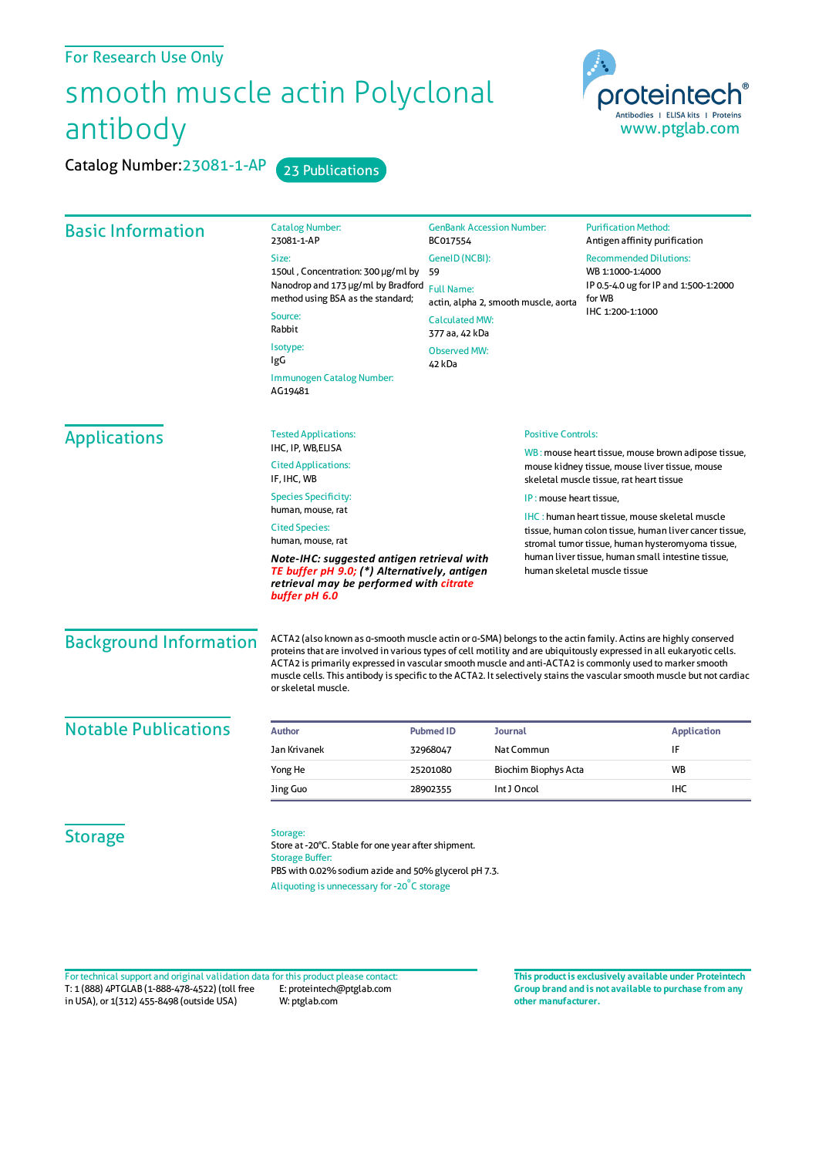## For Research Use Only

## smooth muscle actin Polyclonal antibody

Catalog Number: 23081-1-AP 23 Publications



| <b>Basic Information</b>    | <b>Catalog Number:</b><br>23081-1-AP                                                                                                                                                                                                                                                                                                                                                                               | <b>GenBank Accession Number:</b><br>BC017554                                                                          |                                                                                                                                                                      | <b>Purification Method:</b><br>Antigen affinity purification                                                                                                                                                                                                                                                                                                                                                                                                                                      |  |
|-----------------------------|--------------------------------------------------------------------------------------------------------------------------------------------------------------------------------------------------------------------------------------------------------------------------------------------------------------------------------------------------------------------------------------------------------------------|-----------------------------------------------------------------------------------------------------------------------|----------------------------------------------------------------------------------------------------------------------------------------------------------------------|---------------------------------------------------------------------------------------------------------------------------------------------------------------------------------------------------------------------------------------------------------------------------------------------------------------------------------------------------------------------------------------------------------------------------------------------------------------------------------------------------|--|
|                             | Size:<br>150ul, Concentration: 300 µg/ml by<br>Nanodrop and 173 µg/ml by Bradford<br>method using BSA as the standard;<br>Source:<br>Rabbit<br>Isotype:<br>IgG<br>Immunogen Catalog Number:<br>AG19481                                                                                                                                                                                                             | GeneID (NCBI):<br>59<br><b>Full Name:</b><br><b>Calculated MW:</b><br>377 aa, 42 kDa<br><b>Observed MW:</b><br>42 kDa | actin, alpha 2, smooth muscle, aorta                                                                                                                                 | <b>Recommended Dilutions:</b><br>WB 1:1000-1:4000<br>IP 0.5-4.0 ug for IP and 1:500-1:2000<br>for WB<br>IHC 1:200-1:1000                                                                                                                                                                                                                                                                                                                                                                          |  |
| <b>Applications</b>         | <b>Positive Controls:</b><br><b>Tested Applications:</b><br>IHC, IP, WB, ELISA<br><b>Cited Applications:</b><br>IF, IHC, WB<br><b>Species Specificity:</b><br>IP: mouse heart tissue.<br>human, mouse, rat<br><b>Cited Species:</b><br>human, mouse, rat<br>Note-IHC: suggested antigen retrieval with<br>TE buffer pH 9.0; (*) Alternatively, antigen<br>retrieval may be performed with citrate<br>buffer pH 6.0 |                                                                                                                       |                                                                                                                                                                      |                                                                                                                                                                                                                                                                                                                                                                                                                                                                                                   |  |
|                             |                                                                                                                                                                                                                                                                                                                                                                                                                    |                                                                                                                       |                                                                                                                                                                      | WB: mouse heart tissue, mouse brown adipose tissue,<br>mouse kidney tissue, mouse liver tissue, mouse<br>skeletal muscle tissue, rat heart tissue                                                                                                                                                                                                                                                                                                                                                 |  |
|                             |                                                                                                                                                                                                                                                                                                                                                                                                                    |                                                                                                                       |                                                                                                                                                                      |                                                                                                                                                                                                                                                                                                                                                                                                                                                                                                   |  |
|                             |                                                                                                                                                                                                                                                                                                                                                                                                                    |                                                                                                                       | <b>IHC</b> : human heart tissue, mouse skeletal muscle<br>tissue, human colon tissue, human liver cancer tissue,<br>stromal tumor tissue, human hysteromyoma tissue, |                                                                                                                                                                                                                                                                                                                                                                                                                                                                                                   |  |
|                             |                                                                                                                                                                                                                                                                                                                                                                                                                    |                                                                                                                       |                                                                                                                                                                      |                                                                                                                                                                                                                                                                                                                                                                                                                                                                                                   |  |
|                             |                                                                                                                                                                                                                                                                                                                                                                                                                    |                                                                                                                       | <b>Background Information</b>                                                                                                                                        | ACTA2 (also known as a-smooth muscle actin or a-SMA) belongs to the actin family. Actins are highly conserved<br>proteins that are involved in various types of cell motility and are ubiquitously expressed in all eukaryotic cells.<br>ACTA2 is primarily expressed in vascular smooth muscle and anti-ACTA2 is commonly used to marker smooth<br>muscle cells. This antibody is specific to the ACTA2. It selectively stains the vascular smooth muscle but not cardiac<br>or skeletal muscle. |  |
| <b>Notable Publications</b> | <b>Author</b>                                                                                                                                                                                                                                                                                                                                                                                                      | <b>Pubmed ID</b>                                                                                                      | <b>Journal</b>                                                                                                                                                       | <b>Application</b>                                                                                                                                                                                                                                                                                                                                                                                                                                                                                |  |
|                             | Jan Krivanek                                                                                                                                                                                                                                                                                                                                                                                                       | 32968047                                                                                                              | Nat Commun                                                                                                                                                           | IF                                                                                                                                                                                                                                                                                                                                                                                                                                                                                                |  |
|                             | Yong He                                                                                                                                                                                                                                                                                                                                                                                                            | 25201080                                                                                                              | Biochim Biophys Acta                                                                                                                                                 | <b>WB</b>                                                                                                                                                                                                                                                                                                                                                                                                                                                                                         |  |
|                             | Jing Guo                                                                                                                                                                                                                                                                                                                                                                                                           | 28902355                                                                                                              | Int J Oncol<br><b>IHC</b>                                                                                                                                            |                                                                                                                                                                                                                                                                                                                                                                                                                                                                                                   |  |
| <b>Storage</b>              | Storage:<br>Store at -20°C. Stable for one year after shipment.<br><b>Storage Buffer:</b><br>PBS with 0.02% sodium azide and 50% glycerol pH 7.3.                                                                                                                                                                                                                                                                  |                                                                                                                       |                                                                                                                                                                      |                                                                                                                                                                                                                                                                                                                                                                                                                                                                                                   |  |

Aliquoting is unnecessary for -20<sup>°</sup>C storage

T: 1 (888) 4PTGLAB (1-888-478-4522) (toll free in USA), or 1(312) 455-8498 (outside USA) E: proteintech@ptglab.com W: ptglab.com Fortechnical support and original validation data forthis product please contact: **This productis exclusively available under Proteintech**

**Group brand and is not available to purchase from any other manufacturer.**